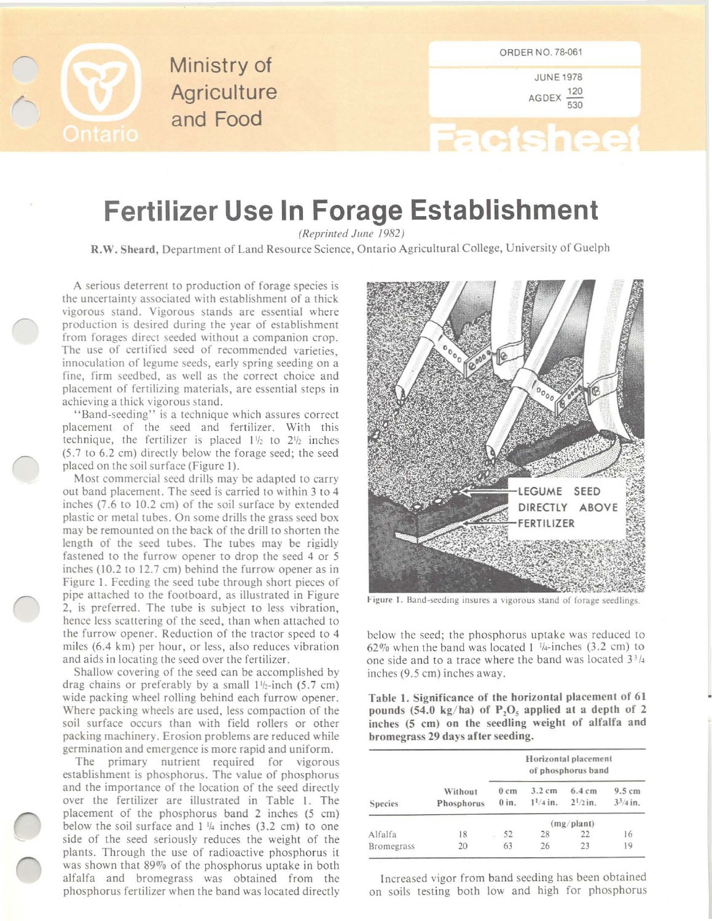

Ministry of **Agriculture** and Food

JUNE 1978 AGDEX  $\frac{120}{530}$ 

## **Factsheet**

## **Fertilizer Use In Forage Establishment**

*(Reprinted June 1982)* 

R.W. Sheard, Department of Land Resource Science, Ontario Agricultural College, University of Guelph

A serious deterrent to production of forage species is the uncertainty associated with establishment of a thick vigorous stand. Vigorous stands are essential where production is desired during the year of establishment from forages direct seeded wilhout a companion crop. The use of certified seed of recommended varieties, innoculation of legume seeds, early spring seeding on a fine, firm seedbed, as well as rhe correct choice and placement of fertilizing materials, are essential steps in achieving a thick vigorous sland.

"Band-seeding" is a technique which assures correct placement of the seed and fertilizer. With this technique, the fertilizer is placed 1<sup>1</sup>/<sub>2</sub> to 2<sup>1</sup>/<sub>2</sub> inches (5.7 to 6.2 em) directly below the forage seed; the seed placed on the soil surface (Figure 1).

Most commercial seed drills may be adapted to carry out band placement. The seed is carried to within 3 to 4 inches (7.6 to 10.2 cm) of the soil surface by extended plastic or metal tubes. On some drills the grass seed box may be remounted on the back of the drill to shorten the length of the seed tubes. The tubes may be rigidly fastened to the furrow opener to drop the seed 4 or 5 inches (10.2 to  $12.7$  cm) behind the furrow opener as in Figure I. Feeding the seed tube through short pieces of pipe attached to the footboard, as illustrated in Figure 2, is preferred. The tube is subject to less vibration, hence less scattering of the seed, than when attached to the furrow opener. Reduction of the tractor speed to 4 miles (6.4 km) per hour, or less, also reduces vibration and aids in locating the seed over the fertilizer.

Shallow covering of the seed can be accomplished by drag chains or preferably by a small  $1\frac{1}{2}$ -inch (5.7 cm) wide packing wheel rolling behind each furrow opener. Where packing wheels are used, less compaction of the soil surface occurs than with field rollers or other packing machinery. Erosion problems are reduced while germination and emergence is more rapid and uniform.

The primary nutrient required for vigorous establishment is phosphorus. The value of phosphorus and the importance of the location of the seed directly over the fertilizer are illustrated in Table I. The placement of the phosphorus band 2 inches (5 cm) below the soil surface and  $1\frac{1}{4}$  inches (3.2 cm) to one side of the seed seriously reduces the weight of the plants. Through the use of radioactive phosphorus it was shown that  $89\%$  of the phosphorus uptake in both alfalfa and bromegrass was obtained from the phosphorus fertilizer when the band was located directly



Figure 1. Band-seeding insures a vigorous stand of forage seedlings.

below the seed; the phosphorus uptake was reduced to  $62\%$  when the band was located 1  $\frac{1}{4}$ -inches (3.2 cm) to one side and to a trace where the band was located  $3<sup>3</sup>/4$ inches (9.5 cm) inches away.

Table I. Significance of the horizontal placement of 61 pounds (54.0 kg/ha) of  $P_2O_5$  applied at a depth of 2 inches (5 em) on the seedling weight of alfalfa and bromegrass 29 days after seeding.

| <b>Species</b>    | Without<br>Phosphorus | Horizontal placement<br>of phosphorus band |                           |                                   |                       |
|-------------------|-----------------------|--------------------------------------------|---------------------------|-----------------------------------|-----------------------|
|                   |                       | $0 \text{ cm}$<br>$0$ in.                  | $3.2$ cm<br>$1^{1}/4$ in. | $6.4 \text{ cm}$<br>$2^{1}/2$ in. | 9.5 cm<br>$3^3/4$ in. |
|                   |                       | (mg/plan)                                  |                           |                                   |                       |
| Alfalfa           | 18                    | 52                                         | 28                        | 22                                | 16                    |
| <b>Bromegrass</b> | 20                    | 63                                         | 26                        | 23                                | 19                    |

I ncreased vigor from band seeding has been obtained on soils testing both low and high for phosphorus